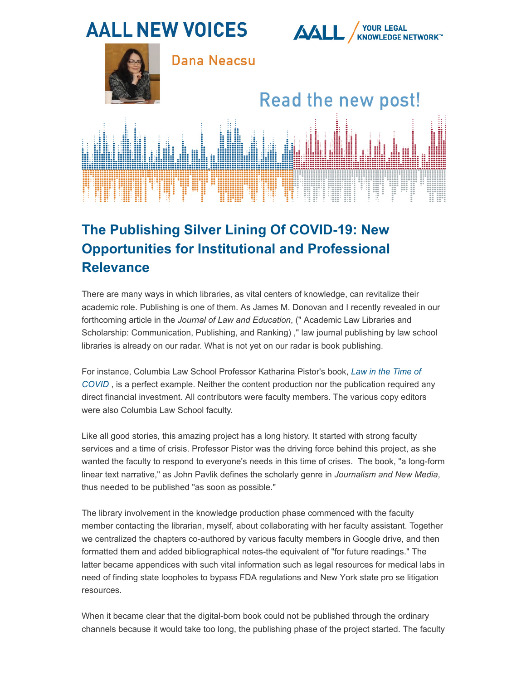

## **The Publishing Silver Lining Of COVID-19: New Opportunities for Institutional and Professional Relevance**

There are many ways in which libraries, as vital centers of knowledge, can revitalize their academic role. Publishing is one of them. As James M. Donovan and I recently revealed in our forthcoming article in the *Journal of Law and Education*, (" Academic Law Libraries and Scholarship: Communication, Publishing, and Ranking) ," law journal publishing by law school libraries is already on our radar. What is not yet on our radar is book publishing.

For instance, Columbia Law School Professor Katharina Pistor's book, *Law in the Time of COVID* , is a perfect example. Neither the content production nor the publication required any direct financial investment. All contributors were faculty members. The various copy editors were also Columbia Law School faculty.

Like all good stories, this amazing project has a long history. It started with strong faculty services and a time of crisis. Professor Pistor was the driving force behind this project, as she wanted the faculty to respond to everyone's needs in this time of crises. The book, "a long-form linear text narrative," as John Pavlik defines the scholarly genre in *Journalism and New Media*, [thus needed to be published "as soon as possible."](https://scholarship.law.columbia.edu/books/240/) 

The library involvement in the knowledge production phase commenced with the faculty member contacting the librarian, myself, about collaborating with her faculty assistant. Together we centralized the chapters co-authored by various faculty members in Google drive, and then formatted them and added bibliographical notes-the equivalent of "for future readings." The latter became appendices with such vital information such as legal resources for medical labs in need of finding state loopholes to bypass FDA regulations and New York state pro se litigation resources.

When it became clear that the digital-born book could not be published through the ordinary channels because it would take too long, the publishing phase of the project started. The faculty